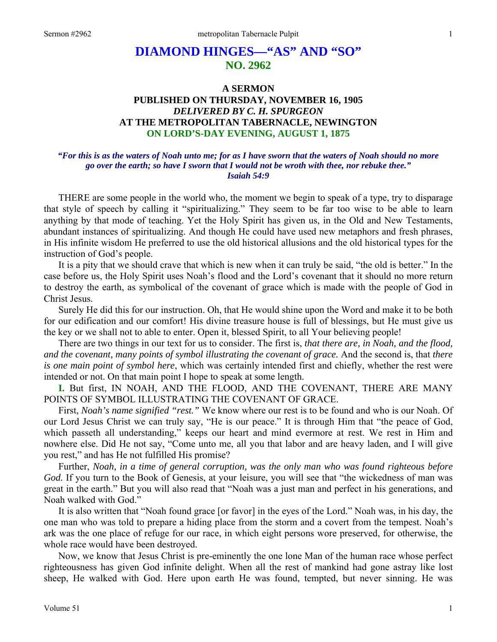# **DIAMOND HINGES—"AS" AND "SO" NO. 2962**

# **A SERMON PUBLISHED ON THURSDAY, NOVEMBER 16, 1905**  *DELIVERED BY C. H. SPURGEON*  **AT THE METROPOLITAN TABERNACLE, NEWINGTON ON LORD'S-DAY EVENING, AUGUST 1, 1875**

### *"For this is as the waters of Noah unto me; for as I have sworn that the waters of Noah should no more go over the earth; so have I sworn that I would not be wroth with thee, nor rebuke thee." Isaiah 54:9*

THERE are some people in the world who, the moment we begin to speak of a type, try to disparage that style of speech by calling it "spiritualizing." They seem to be far too wise to be able to learn anything by that mode of teaching. Yet the Holy Spirit has given us, in the Old and New Testaments, abundant instances of spiritualizing. And though He could have used new metaphors and fresh phrases, in His infinite wisdom He preferred to use the old historical allusions and the old historical types for the instruction of God's people.

 It is a pity that we should crave that which is new when it can truly be said, "the old is better." In the case before us, the Holy Spirit uses Noah's flood and the Lord's covenant that it should no more return to destroy the earth, as symbolical of the covenant of grace which is made with the people of God in Christ Jesus.

 Surely He did this for our instruction. Oh, that He would shine upon the Word and make it to be both for our edification and our comfort! His divine treasure house is full of blessings, but He must give us the key or we shall not to able to enter. Open it, blessed Spirit, to all Your believing people!

 There are two things in our text for us to consider. The first is, *that there are, in Noah, and the flood, and the covenant, many points of symbol illustrating the covenant of grace.* And the second is, that *there is one main point of symbol here*, which was certainly intended first and chiefly, whether the rest were intended or not. On that main point I hope to speak at some length.

**I.** But first, IN NOAH, AND THE FLOOD, AND THE COVENANT, THERE ARE MANY POINTS OF SYMBOL ILLUSTRATING THE COVENANT OF GRACE.

 First, *Noah's name signified "rest."* We know where our rest is to be found and who is our Noah. Of our Lord Jesus Christ we can truly say, "He is our peace." It is through Him that "the peace of God, which passeth all understanding," keeps our heart and mind evermore at rest. We rest in Him and nowhere else. Did He not say, "Come unto me, all you that labor and are heavy laden, and I will give you rest," and has He not fulfilled His promise?

 Further, *Noah, in a time of general corruption, was the only man who was found righteous before*  God. If you turn to the Book of Genesis, at your leisure, you will see that "the wickedness of man was great in the earth." But you will also read that "Noah was a just man and perfect in his generations, and Noah walked with God."

 It is also written that "Noah found grace [or favor] in the eyes of the Lord." Noah was, in his day, the one man who was told to prepare a hiding place from the storm and a covert from the tempest. Noah's ark was the one place of refuge for our race, in which eight persons wore preserved, for otherwise, the whole race would have been destroyed.

 Now, we know that Jesus Christ is pre-eminently the one lone Man of the human race whose perfect righteousness has given God infinite delight. When all the rest of mankind had gone astray like lost sheep, He walked with God. Here upon earth He was found, tempted, but never sinning. He was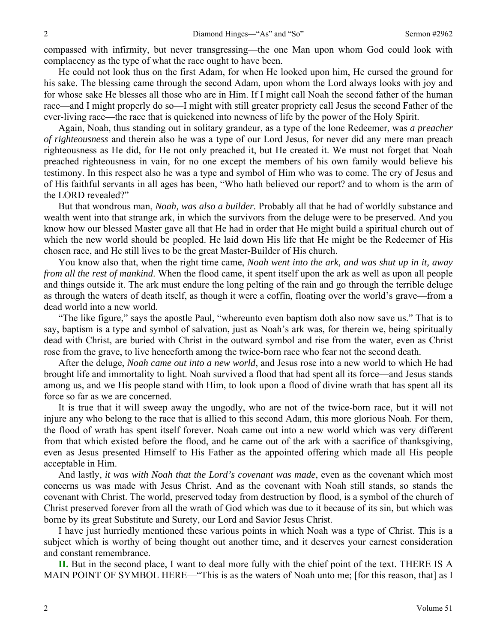compassed with infirmity, but never transgressing—the one Man upon whom God could look with complacency as the type of what the race ought to have been.

 He could not look thus on the first Adam, for when He looked upon him, He cursed the ground for his sake. The blessing came through the second Adam, upon whom the Lord always looks with joy and for whose sake He blesses all those who are in Him. If I might call Noah the second father of the human race—and I might properly do so—I might with still greater propriety call Jesus the second Father of the ever-living race—the race that is quickened into newness of life by the power of the Holy Spirit.

 Again, Noah, thus standing out in solitary grandeur, as a type of the lone Redeemer, was *a preacher of righteousness* and therein also he was a type of our Lord Jesus, for never did any mere man preach righteousness as He did, for He not only preached it, but He created it. We must not forget that Noah preached righteousness in vain, for no one except the members of his own family would believe his testimony. In this respect also he was a type and symbol of Him who was to come. The cry of Jesus and of His faithful servants in all ages has been, "Who hath believed our report? and to whom is the arm of the LORD revealed?"

 But that wondrous man, *Noah, was also a builder.* Probably all that he had of worldly substance and wealth went into that strange ark, in which the survivors from the deluge were to be preserved. And you know how our blessed Master gave all that He had in order that He might build a spiritual church out of which the new world should be peopled. He laid down His life that He might be the Redeemer of His chosen race, and He still lives to be the great Master-Builder of His church.

 You know also that, when the right time came, *Noah went into the ark, and was shut up in it, away from all the rest of mankind*. When the flood came, it spent itself upon the ark as well as upon all people and things outside it. The ark must endure the long pelting of the rain and go through the terrible deluge as through the waters of death itself, as though it were a coffin, floating over the world's grave—from a dead world into a new world.

 "The like figure," says the apostle Paul, "whereunto even baptism doth also now save us." That is to say, baptism is a type and symbol of salvation, just as Noah's ark was, for therein we, being spiritually dead with Christ, are buried with Christ in the outward symbol and rise from the water, even as Christ rose from the grave, to live henceforth among the twice-born race who fear not the second death.

 After the deluge, *Noah came out into a new world*, and Jesus rose into a new world to which He had brought life and immortality to light. Noah survived a flood that had spent all its force—and Jesus stands among us, and we His people stand with Him, to look upon a flood of divine wrath that has spent all its force so far as we are concerned.

 It is true that it will sweep away the ungodly, who are not of the twice-born race, but it will not injure any who belong to the race that is allied to this second Adam, this more glorious Noah. For them, the flood of wrath has spent itself forever. Noah came out into a new world which was very different from that which existed before the flood, and he came out of the ark with a sacrifice of thanksgiving, even as Jesus presented Himself to His Father as the appointed offering which made all His people acceptable in Him.

 And lastly, *it was with Noah that the Lord's covenant was made*, even as the covenant which most concerns us was made with Jesus Christ. And as the covenant with Noah still stands, so stands the covenant with Christ. The world, preserved today from destruction by flood, is a symbol of the church of Christ preserved forever from all the wrath of God which was due to it because of its sin, but which was borne by its great Substitute and Surety, our Lord and Savior Jesus Christ.

 I have just hurriedly mentioned these various points in which Noah was a type of Christ. This is a subject which is worthy of being thought out another time, and it deserves your earnest consideration and constant remembrance.

**II.** But in the second place, I want to deal more fully with the chief point of the text. THERE IS A MAIN POINT OF SYMBOL HERE—"This is as the waters of Noah unto me; [for this reason, that] as I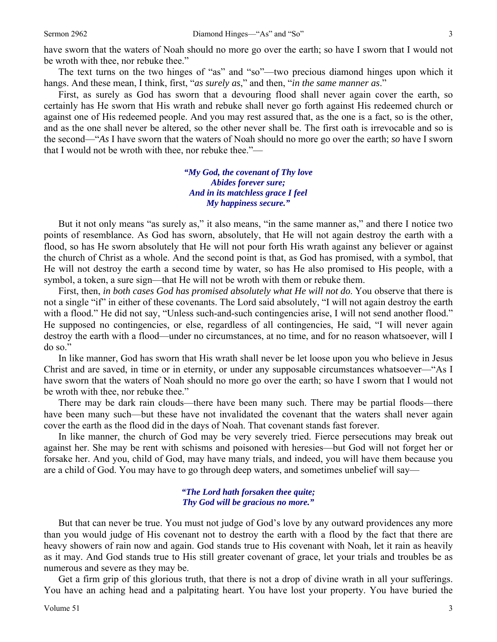have sworn that the waters of Noah should no more go over the earth; so have I sworn that I would not be wroth with thee, nor rebuke thee."

 The text turns on the two hinges of "as" and "so"—two precious diamond hinges upon which it hangs. And these mean, I think, first, "*as surely as*," and then, "*in the same manner as*."

 First, as surely as God has sworn that a devouring flood shall never again cover the earth, so certainly has He sworn that His wrath and rebuke shall never go forth against His redeemed church or against one of His redeemed people. And you may rest assured that, as the one is a fact, so is the other, and as the one shall never be altered, so the other never shall be. The first oath is irrevocable and so is the second—"*As* I have sworn that the waters of Noah should no more go over the earth; *so* have I sworn that I would not be wroth with thee, nor rebuke thee."—

> *"My God, the covenant of Thy love Abides forever sure; And in its matchless grace I feel My happiness secure."*

But it not only means "as surely as," it also means, "in the same manner as," and there I notice two points of resemblance. As God has sworn, absolutely, that He will not again destroy the earth with a flood, so has He sworn absolutely that He will not pour forth His wrath against any believer or against the church of Christ as a whole. And the second point is that, as God has promised, with a symbol, that He will not destroy the earth a second time by water, so has He also promised to His people, with a symbol, a token, a sure sign—that He will not be wroth with them or rebuke them.

 First, then, *in both cases God has promised absolutely what He will not do*. You observe that there is not a single "if" in either of these covenants. The Lord said absolutely, "I will not again destroy the earth with a flood." He did not say, "Unless such-and-such contingencies arise, I will not send another flood." He supposed no contingencies, or else, regardless of all contingencies, He said, "I will never again destroy the earth with a flood—under no circumstances, at no time, and for no reason whatsoever, will I do so."

 In like manner, God has sworn that His wrath shall never be let loose upon you who believe in Jesus Christ and are saved, in time or in eternity, or under any supposable circumstances whatsoever—"As I have sworn that the waters of Noah should no more go over the earth; so have I sworn that I would not be wroth with thee, nor rebuke thee."

 There may be dark rain clouds—there have been many such. There may be partial floods—there have been many such—but these have not invalidated the covenant that the waters shall never again cover the earth as the flood did in the days of Noah. That covenant stands fast forever.

 In like manner, the church of God may be very severely tried. Fierce persecutions may break out against her. She may be rent with schisms and poisoned with heresies—but God will not forget her or forsake her. And you, child of God, may have many trials, and indeed, you will have them because you are a child of God. You may have to go through deep waters, and sometimes unbelief will say—

#### *"The Lord hath forsaken thee quite; Thy God will be gracious no more."*

 But that can never be true. You must not judge of God's love by any outward providences any more than you would judge of His covenant not to destroy the earth with a flood by the fact that there are heavy showers of rain now and again. God stands true to His covenant with Noah, let it rain as heavily as it may. And God stands true to His still greater covenant of grace, let your trials and troubles be as numerous and severe as they may be.

 Get a firm grip of this glorious truth, that there is not a drop of divine wrath in all your sufferings. You have an aching head and a palpitating heart. You have lost your property. You have buried the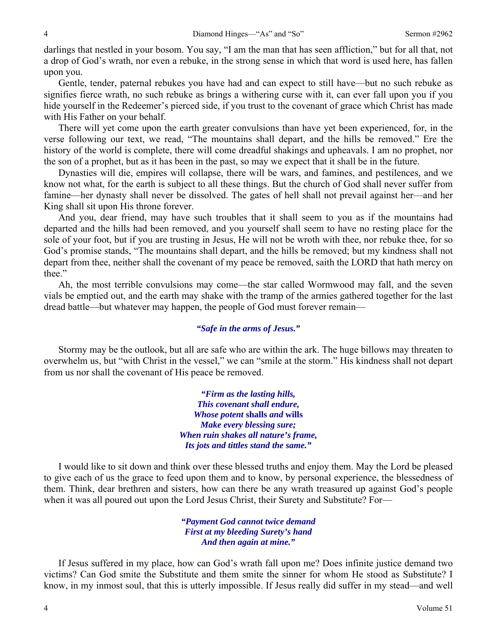darlings that nestled in your bosom. You say, "I am the man that has seen affliction," but for all that, not a drop of God's wrath, nor even a rebuke, in the strong sense in which that word is used here, has fallen upon you.

 Gentle, tender, paternal rebukes you have had and can expect to still have—but no such rebuke as signifies fierce wrath, no such rebuke as brings a withering curse with it, can ever fall upon you if you hide yourself in the Redeemer's pierced side, if you trust to the covenant of grace which Christ has made with His Father on your behalf.

 There will yet come upon the earth greater convulsions than have yet been experienced, for, in the verse following our text, we read, "The mountains shall depart, and the hills be removed." Ere the history of the world is complete, there will come dreadful shakings and upheavals. I am no prophet, nor the son of a prophet, but as it has been in the past, so may we expect that it shall be in the future.

 Dynasties will die, empires will collapse, there will be wars, and famines, and pestilences, and we know not what, for the earth is subject to all these things. But the church of God shall never suffer from famine—her dynasty shall never be dissolved. The gates of hell shall not prevail against her—and her King shall sit upon His throne forever.

 And you, dear friend, may have such troubles that it shall seem to you as if the mountains had departed and the hills had been removed, and you yourself shall seem to have no resting place for the sole of your foot, but if you are trusting in Jesus, He will not be wroth with thee, nor rebuke thee, for so God's promise stands, "The mountains shall depart, and the hills be removed; but my kindness shall not depart from thee, neither shall the covenant of my peace be removed, saith the LORD that hath mercy on thee."

 Ah, the most terrible convulsions may come—the star called Wormwood may fall, and the seven vials be emptied out, and the earth may shake with the tramp of the armies gathered together for the last dread battle—but whatever may happen, the people of God must forever remain—

#### *"Safe in the arms of Jesus."*

 Stormy may be the outlook, but all are safe who are within the ark. The huge billows may threaten to overwhelm us, but "with Christ in the vessel," we can "smile at the storm." His kindness shall not depart from us nor shall the covenant of His peace be removed.

> *"Firm as the lasting hills, This covenant shall endure, Whose potent* **shalls** *and* **wills** *Make every blessing sure; When ruin shakes all nature's frame, Its jots and tittles stand the same."*

I would like to sit down and think over these blessed truths and enjoy them. May the Lord be pleased to give each of us the grace to feed upon them and to know, by personal experience, the blessedness of them. Think, dear brethren and sisters, how can there be any wrath treasured up against God's people when it was all poured out upon the Lord Jesus Christ, their Surety and Substitute? For—

> *"Payment God cannot twice demand First at my bleeding Surety's hand And then again at mine."*

 If Jesus suffered in my place, how can God's wrath fall upon me? Does infinite justice demand two victims? Can God smite the Substitute and them smite the sinner for whom He stood as Substitute? I know, in my inmost soul, that this is utterly impossible. If Jesus really did suffer in my stead—and well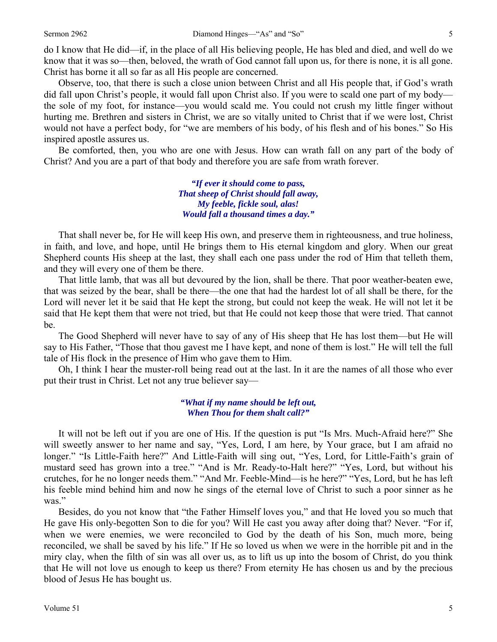do I know that He did—if, in the place of all His believing people, He has bled and died, and well do we know that it was so—then, beloved, the wrath of God cannot fall upon us, for there is none, it is all gone. Christ has borne it all so far as all His people are concerned.

 Observe, too, that there is such a close union between Christ and all His people that, if God's wrath did fall upon Christ's people, it would fall upon Christ also. If you were to scald one part of my body the sole of my foot, for instance—you would scald me. You could not crush my little finger without hurting me. Brethren and sisters in Christ, we are so vitally united to Christ that if we were lost, Christ would not have a perfect body, for "we are members of his body, of his flesh and of his bones." So His inspired apostle assures us.

 Be comforted, then, you who are one with Jesus. How can wrath fall on any part of the body of Christ? And you are a part of that body and therefore you are safe from wrath forever.

> *"If ever it should come to pass, That sheep of Christ should fall away, My feeble, fickle soul, alas! Would fall a thousand times a day."*

 That shall never be, for He will keep His own, and preserve them in righteousness, and true holiness, in faith, and love, and hope, until He brings them to His eternal kingdom and glory. When our great Shepherd counts His sheep at the last, they shall each one pass under the rod of Him that telleth them, and they will every one of them be there.

 That little lamb, that was all but devoured by the lion, shall be there. That poor weather-beaten ewe, that was seized by the bear, shall be there—the one that had the hardest lot of all shall be there, for the Lord will never let it be said that He kept the strong, but could not keep the weak. He will not let it be said that He kept them that were not tried, but that He could not keep those that were tried. That cannot be.

 The Good Shepherd will never have to say of any of His sheep that He has lost them—but He will say to His Father, "Those that thou gavest me I have kept, and none of them is lost." He will tell the full tale of His flock in the presence of Him who gave them to Him.

 Oh, I think I hear the muster-roll being read out at the last. In it are the names of all those who ever put their trust in Christ. Let not any true believer say—

> *"What if my name should be left out, When Thou for them shalt call?"*

 It will not be left out if you are one of His. If the question is put "Is Mrs. Much-Afraid here?" She will sweetly answer to her name and say, "Yes, Lord, I am here, by Your grace, but I am afraid no longer." "Is Little-Faith here?" And Little-Faith will sing out, "Yes, Lord, for Little-Faith's grain of mustard seed has grown into a tree." "And is Mr. Ready-to-Halt here?" "Yes, Lord, but without his crutches, for he no longer needs them." "And Mr. Feeble-Mind—is he here?" "Yes, Lord, but he has left his feeble mind behind him and now he sings of the eternal love of Christ to such a poor sinner as he was."

 Besides, do you not know that "the Father Himself loves you," and that He loved you so much that He gave His only-begotten Son to die for you? Will He cast you away after doing that? Never. "For if, when we were enemies, we were reconciled to God by the death of his Son, much more, being reconciled, we shall be saved by his life." If He so loved us when we were in the horrible pit and in the miry clay, when the filth of sin was all over us, as to lift us up into the bosom of Christ, do you think that He will not love us enough to keep us there? From eternity He has chosen us and by the precious blood of Jesus He has bought us.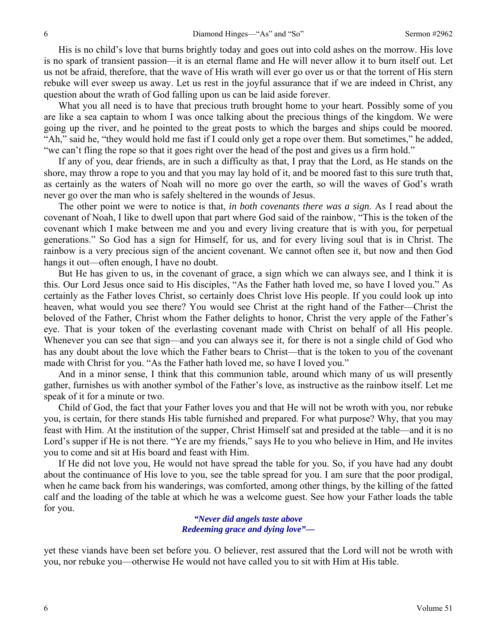His is no child's love that burns brightly today and goes out into cold ashes on the morrow. His love is no spark of transient passion—it is an eternal flame and He will never allow it to burn itself out. Let us not be afraid, therefore, that the wave of His wrath will ever go over us or that the torrent of His stern rebuke will ever sweep us away. Let us rest in the joyful assurance that if we are indeed in Christ, any question about the wrath of God falling upon us can be laid aside forever.

 What you all need is to have that precious truth brought home to your heart. Possibly some of you are like a sea captain to whom I was once talking about the precious things of the kingdom. We were going up the river, and he pointed to the great posts to which the barges and ships could be moored. "Ah," said he, "they would hold me fast if I could only get a rope over them. But sometimes," he added, "we can't fling the rope so that it goes right over the head of the post and gives us a firm hold."

 If any of you, dear friends, are in such a difficulty as that, I pray that the Lord, as He stands on the shore, may throw a rope to you and that you may lay hold of it, and be moored fast to this sure truth that, as certainly as the waters of Noah will no more go over the earth, so will the waves of God's wrath never go over the man who is safely sheltered in the wounds of Jesus.

 The other point we were to notice is that, *in both covenants there was a sign*. As I read about the covenant of Noah, I like to dwell upon that part where God said of the rainbow, "This is the token of the covenant which I make between me and you and every living creature that is with you, for perpetual generations." So God has a sign for Himself, for us, and for every living soul that is in Christ. The rainbow is a very precious sign of the ancient covenant. We cannot often see it, but now and then God hangs it out—often enough, I have no doubt.

 But He has given to us, in the covenant of grace, a sign which we can always see, and I think it is this. Our Lord Jesus once said to His disciples, "As the Father hath loved me, so have I loved you." As certainly as the Father loves Christ, so certainly does Christ love His people. If you could look up into heaven, what would you see there? You would see Christ at the right hand of the Father—Christ the beloved of the Father, Christ whom the Father delights to honor, Christ the very apple of the Father's eye. That is your token of the everlasting covenant made with Christ on behalf of all His people. Whenever you can see that sign—and you can always see it, for there is not a single child of God who has any doubt about the love which the Father bears to Christ—that is the token to you of the covenant made with Christ for you. "As the Father hath loved me, so have I loved you."

 And in a minor sense, I think that this communion table, around which many of us will presently gather, furnishes us with another symbol of the Father's love, as instructive as the rainbow itself. Let me speak of it for a minute or two.

 Child of God, the fact that your Father loves you and that He will not be wroth with you, nor rebuke you, is certain, for there stands His table furnished and prepared. For what purpose? Why, that you may feast with Him. At the institution of the supper, Christ Himself sat and presided at the table—and it is no Lord's supper if He is not there. "Ye are my friends," says He to you who believe in Him, and He invites you to come and sit at His board and feast with Him.

 If He did not love you, He would not have spread the table for you. So, if you have had any doubt about the continuance of His love to you, see the table spread for you. I am sure that the poor prodigal, when he came back from his wanderings, was comforted, among other things, by the killing of the fatted calf and the loading of the table at which he was a welcome guest. See how your Father loads the table for you.

#### *"Never did angels taste above Redeeming grace and dying love"—*

yet these viands have been set before you. O believer, rest assured that the Lord will not be wroth with you, nor rebuke you—otherwise He would not have called you to sit with Him at His table.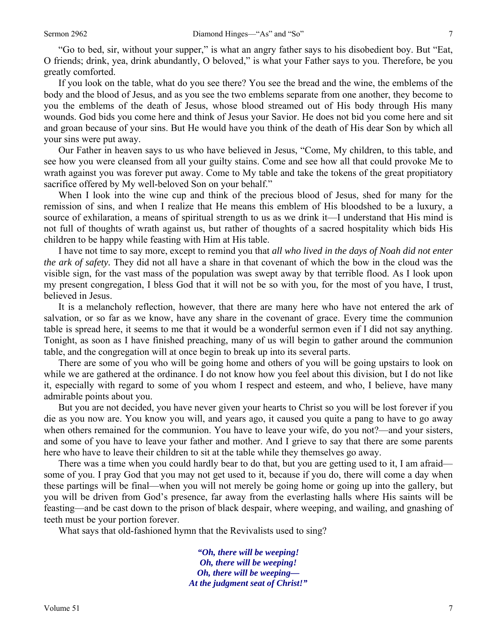"Go to bed, sir, without your supper," is what an angry father says to his disobedient boy. But "Eat, O friends; drink, yea, drink abundantly, O beloved," is what your Father says to you. Therefore, be you greatly comforted.

 If you look on the table, what do you see there? You see the bread and the wine, the emblems of the body and the blood of Jesus, and as you see the two emblems separate from one another, they become to you the emblems of the death of Jesus, whose blood streamed out of His body through His many wounds. God bids you come here and think of Jesus your Savior. He does not bid you come here and sit and groan because of your sins. But He would have you think of the death of His dear Son by which all your sins were put away.

 Our Father in heaven says to us who have believed in Jesus, "Come, My children, to this table, and see how you were cleansed from all your guilty stains. Come and see how all that could provoke Me to wrath against you was forever put away. Come to My table and take the tokens of the great propitiatory sacrifice offered by My well-beloved Son on your behalf."

When I look into the wine cup and think of the precious blood of Jesus, shed for many for the remission of sins, and when I realize that He means this emblem of His bloodshed to be a luxury, a source of exhilaration, a means of spiritual strength to us as we drink it—I understand that His mind is not full of thoughts of wrath against us, but rather of thoughts of a sacred hospitality which bids His children to be happy while feasting with Him at His table.

 I have not time to say more, except to remind you that *all who lived in the days of Noah did not enter the ark of safety.* They did not all have a share in that covenant of which the bow in the cloud was the visible sign, for the vast mass of the population was swept away by that terrible flood. As I look upon my present congregation, I bless God that it will not be so with you, for the most of you have, I trust, believed in Jesus.

 It is a melancholy reflection, however, that there are many here who have not entered the ark of salvation, or so far as we know, have any share in the covenant of grace. Every time the communion table is spread here, it seems to me that it would be a wonderful sermon even if I did not say anything. Tonight, as soon as I have finished preaching, many of us will begin to gather around the communion table, and the congregation will at once begin to break up into its several parts.

 There are some of you who will be going home and others of you will be going upstairs to look on while we are gathered at the ordinance. I do not know how you feel about this division, but I do not like it, especially with regard to some of you whom I respect and esteem, and who, I believe, have many admirable points about you.

 But you are not decided, you have never given your hearts to Christ so you will be lost forever if you die as you now are. You know you will, and years ago, it caused you quite a pang to have to go away when others remained for the communion. You have to leave your wife, do you not?—and your sisters, and some of you have to leave your father and mother. And I grieve to say that there are some parents here who have to leave their children to sit at the table while they themselves go away.

 There was a time when you could hardly bear to do that, but you are getting used to it, I am afraid some of you. I pray God that you may not get used to it, because if you do, there will come a day when these partings will be final—when you will not merely be going home or going up into the gallery, but you will be driven from God's presence, far away from the everlasting halls where His saints will be feasting—and be cast down to the prison of black despair, where weeping, and wailing, and gnashing of teeth must be your portion forever.

What says that old-fashioned hymn that the Revivalists used to sing?

*"Oh, there will be weeping! Oh, there will be weeping! Oh, there will be weeping— At the judgment seat of Christ!"*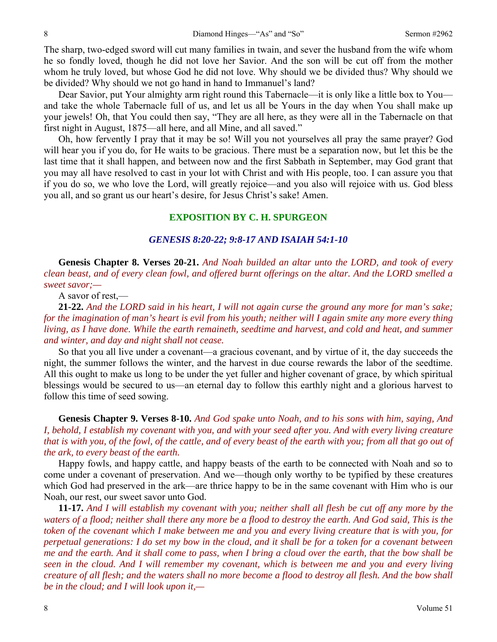The sharp, two-edged sword will cut many families in twain, and sever the husband from the wife whom he so fondly loved, though he did not love her Savior. And the son will be cut off from the mother whom he truly loved, but whose God he did not love. Why should we be divided thus? Why should we be divided? Why should we not go hand in hand to Immanuel's land?

Dear Savior, put Your almighty arm right round this Tabernacle—it is only like a little box to You and take the whole Tabernacle full of us, and let us all be Yours in the day when You shall make up your jewels! Oh, that You could then say, "They are all here, as they were all in the Tabernacle on that first night in August, 1875—all here, and all Mine, and all saved."

 Oh, how fervently I pray that it may be so! Will you not yourselves all pray the same prayer? God will hear you if you do, for He waits to be gracious. There must be a separation now, but let this be the last time that it shall happen, and between now and the first Sabbath in September, may God grant that you may all have resolved to cast in your lot with Christ and with His people, too. I can assure you that if you do so, we who love the Lord, will greatly rejoice—and you also will rejoice with us. God bless you all, and so grant us our heart's desire, for Jesus Christ's sake! Amen.

#### **EXPOSITION BY C. H. SPURGEON**

#### *GENESIS 8:20-22; 9:8-17 AND ISAIAH 54:1-10*

**Genesis Chapter 8. Verses 20-21.** *And Noah builded an altar unto the LORD, and took of every clean beast, and of every clean fowl, and offered burnt offerings on the altar. And the LORD smelled a sweet savor;—* 

A savor of rest,—

**21-22.** *And the LORD said in his heart, I will not again curse the ground any more for man's sake; for the imagination of man's heart is evil from his youth; neither will I again smite any more every thing living, as I have done. While the earth remaineth, seedtime and harvest, and cold and heat, and summer and winter, and day and night shall not cease.* 

So that you all live under a covenant—a gracious covenant, and by virtue of it, the day succeeds the night, the summer follows the winter, and the harvest in due course rewards the labor of the seedtime. All this ought to make us long to be under the yet fuller and higher covenant of grace, by which spiritual blessings would be secured to us—an eternal day to follow this earthly night and a glorious harvest to follow this time of seed sowing.

**Genesis Chapter 9. Verses 8-10.** *And God spake unto Noah, and to his sons with him, saying, And I, behold, I establish my covenant with you, and with your seed after you. And with every living creature that is with you, of the fowl, of the cattle, and of every beast of the earth with you; from all that go out of the ark, to every beast of the earth.* 

Happy fowls, and happy cattle, and happy beasts of the earth to be connected with Noah and so to come under a covenant of preservation. And we—though only worthy to be typified by these creatures which God had preserved in the ark—are thrice happy to be in the same covenant with Him who is our Noah, our rest, our sweet savor unto God.

**11-17.** *And I will establish my covenant with you; neither shall all flesh be cut off any more by the waters of a flood; neither shall there any more be a flood to destroy the earth. And God said, This is the token of the covenant which I make between me and you and every living creature that is with you, for perpetual generations: I do set my bow in the cloud, and it shall be for a token for a covenant between me and the earth. And it shall come to pass, when I bring a cloud over the earth, that the bow shall be seen in the cloud. And I will remember my covenant, which is between me and you and every living creature of all flesh; and the waters shall no more become a flood to destroy all flesh. And the bow shall be in the cloud; and I will look upon it,—*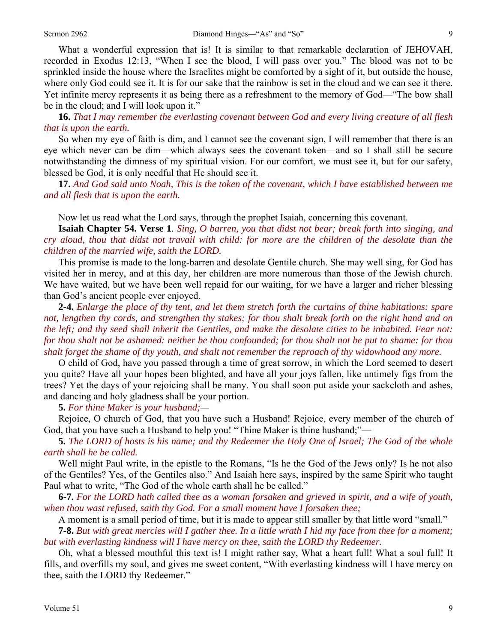What a wonderful expression that is! It is similar to that remarkable declaration of JEHOVAH, recorded in Exodus 12:13, "When I see the blood, I will pass over you." The blood was not to be sprinkled inside the house where the Israelites might be comforted by a sight of it, but outside the house, where only God could see it. It is for our sake that the rainbow is set in the cloud and we can see it there. Yet infinite mercy represents it as being there as a refreshment to the memory of God—"The bow shall be in the cloud; and I will look upon it."

**16.** *That I may remember the everlasting covenant between God and every living creature of all flesh that is upon the earth.* 

So when my eye of faith is dim, and I cannot see the covenant sign, I will remember that there is an eye which never can be dim—which always sees the covenant token—and so I shall still be secure notwithstanding the dimness of my spiritual vision. For our comfort, we must see it, but for our safety, blessed be God, it is only needful that He should see it.

**17.** *And God said unto Noah, This is the token of the covenant, which I have established between me and all flesh that is upon the earth.* 

Now let us read what the Lord says, through the prophet Isaiah, concerning this covenant.

**Isaiah Chapter 54. Verse 1**. *Sing, O barren, you that didst not bear; break forth into singing, and cry aloud, thou that didst not travail with child: for more are the children of the desolate than the children of the married wife, saith the LORD.* 

This promise is made to the long-barren and desolate Gentile church. She may well sing, for God has visited her in mercy, and at this day, her children are more numerous than those of the Jewish church. We have waited, but we have been well repaid for our waiting, for we have a larger and richer blessing than God's ancient people ever enjoyed.

**2-4.** *Enlarge the place of thy tent, and let them stretch forth the curtains of thine habitations: spare not, lengthen thy cords, and strengthen thy stakes; for thou shalt break forth on the right hand and on the left; and thy seed shall inherit the Gentiles, and make the desolate cities to be inhabited. Fear not: for thou shalt not be ashamed: neither be thou confounded; for thou shalt not be put to shame: for thou shalt forget the shame of thy youth, and shalt not remember the reproach of thy widowhood any more.* 

O child of God, have you passed through a time of great sorrow, in which the Lord seemed to desert you quite? Have all your hopes been blighted, and have all your joys fallen, like untimely figs from the trees? Yet the days of your rejoicing shall be many. You shall soon put aside your sackcloth and ashes, and dancing and holy gladness shall be your portion.

**5.** *For thine Maker is your husband;—* 

Rejoice, O church of God, that you have such a Husband! Rejoice, every member of the church of God, that you have such a Husband to help you! "Thine Maker is thine husband;"—

**5.** *The LORD of hosts is his name; and thy Redeemer the Holy One of Israel; The God of the whole earth shall he be called.* 

Well might Paul write, in the epistle to the Romans, "Is he the God of the Jews only? Is he not also of the Gentiles? Yes, of the Gentiles also." And Isaiah here says, inspired by the same Spirit who taught Paul what to write, "The God of the whole earth shall he be called."

**6-7.** *For the LORD hath called thee as a woman forsaken and grieved in spirit, and a wife of youth, when thou wast refused, saith thy God. For a small moment have I forsaken thee;* 

A moment is a small period of time, but it is made to appear still smaller by that little word "small."

**7-8.** *But with great mercies will I gather thee. In a little wrath I hid my face from thee for a moment; but with everlasting kindness will I have mercy on thee, saith the LORD thy Redeemer.* 

Oh, what a blessed mouthful this text is! I might rather say, What a heart full! What a soul full! It fills, and overfills my soul, and gives me sweet content, "With everlasting kindness will I have mercy on thee, saith the LORD thy Redeemer."